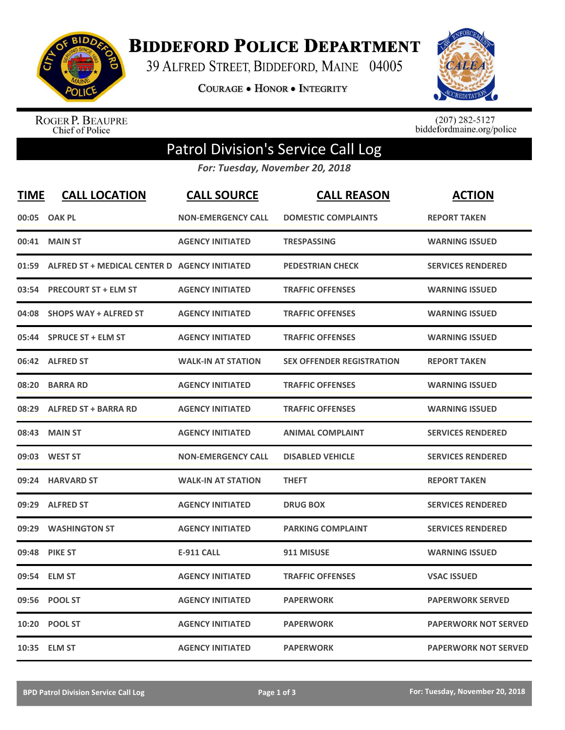

**BIDDEFORD POLICE DEPARTMENT** 

39 ALFRED STREET, BIDDEFORD, MAINE 04005

**COURAGE . HONOR . INTEGRITY** 



ROGER P. BEAUPRE<br>Chief of Police

 $(207)$  282-5127<br>biddefordmaine.org/police

## Patrol Division's Service Call Log

*For: Tuesday, November 20, 2018*

| <b>TIME</b> | <b>CALL LOCATION</b>                          | <b>CALL SOURCE</b>        | <b>CALL REASON</b>               | <b>ACTION</b>               |
|-------------|-----------------------------------------------|---------------------------|----------------------------------|-----------------------------|
| 00:05       | <b>OAK PL</b>                                 | <b>NON-EMERGENCY CALL</b> | <b>DOMESTIC COMPLAINTS</b>       | <b>REPORT TAKEN</b>         |
|             | 00:41 MAIN ST                                 | <b>AGENCY INITIATED</b>   | <b>TRESPASSING</b>               | <b>WARNING ISSUED</b>       |
| 01:59       | ALFRED ST + MEDICAL CENTER D AGENCY INITIATED |                           | <b>PEDESTRIAN CHECK</b>          | <b>SERVICES RENDERED</b>    |
| 03:54       | <b>PRECOURT ST + ELM ST</b>                   | <b>AGENCY INITIATED</b>   | <b>TRAFFIC OFFENSES</b>          | <b>WARNING ISSUED</b>       |
| 04:08       | <b>SHOPS WAY + ALFRED ST</b>                  | <b>AGENCY INITIATED</b>   | <b>TRAFFIC OFFENSES</b>          | <b>WARNING ISSUED</b>       |
| 05:44       | <b>SPRUCE ST + ELM ST</b>                     | <b>AGENCY INITIATED</b>   | <b>TRAFFIC OFFENSES</b>          | <b>WARNING ISSUED</b>       |
|             | 06:42 ALFRED ST                               | <b>WALK-IN AT STATION</b> | <b>SEX OFFENDER REGISTRATION</b> | <b>REPORT TAKEN</b>         |
| 08:20       | <b>BARRA RD</b>                               | <b>AGENCY INITIATED</b>   | <b>TRAFFIC OFFENSES</b>          | <b>WARNING ISSUED</b>       |
| 08:29       | <b>ALFRED ST + BARRA RD</b>                   | <b>AGENCY INITIATED</b>   | <b>TRAFFIC OFFENSES</b>          | <b>WARNING ISSUED</b>       |
| 08:43       | <b>MAIN ST</b>                                | <b>AGENCY INITIATED</b>   | <b>ANIMAL COMPLAINT</b>          | <b>SERVICES RENDERED</b>    |
|             | 09:03 WEST ST                                 | <b>NON-EMERGENCY CALL</b> | <b>DISABLED VEHICLE</b>          | <b>SERVICES RENDERED</b>    |
| 09:24       | <b>HARVARD ST</b>                             | <b>WALK-IN AT STATION</b> | <b>THEFT</b>                     | <b>REPORT TAKEN</b>         |
| 09:29       | <b>ALFRED ST</b>                              | <b>AGENCY INITIATED</b>   | <b>DRUG BOX</b>                  | <b>SERVICES RENDERED</b>    |
| 09:29       | <b>WASHINGTON ST</b>                          | <b>AGENCY INITIATED</b>   | <b>PARKING COMPLAINT</b>         | <b>SERVICES RENDERED</b>    |
| 09:48       | <b>PIKE ST</b>                                | <b>E-911 CALL</b>         | 911 MISUSE                       | <b>WARNING ISSUED</b>       |
| 09:54       | <b>ELM ST</b>                                 | <b>AGENCY INITIATED</b>   | <b>TRAFFIC OFFENSES</b>          | <b>VSAC ISSUED</b>          |
| 09:56       | <b>POOL ST</b>                                | <b>AGENCY INITIATED</b>   | <b>PAPERWORK</b>                 | <b>PAPERWORK SERVED</b>     |
| 10:20       | <b>POOL ST</b>                                | <b>AGENCY INITIATED</b>   | <b>PAPERWORK</b>                 | <b>PAPERWORK NOT SERVED</b> |
|             | 10:35 ELM ST                                  | <b>AGENCY INITIATED</b>   | <b>PAPERWORK</b>                 | <b>PAPERWORK NOT SERVED</b> |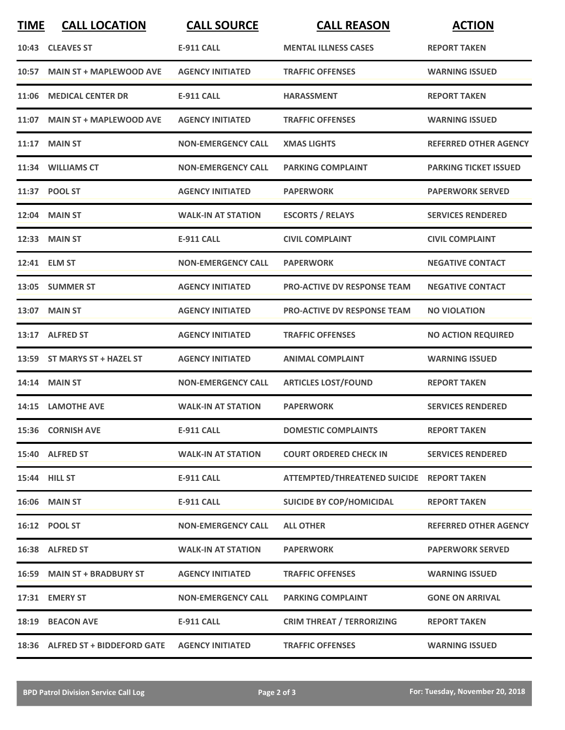| <b>TIME</b> | <b>CALL LOCATION</b>             | <b>CALL SOURCE</b>        | <b>CALL REASON</b>                        | <b>ACTION</b>                |
|-------------|----------------------------------|---------------------------|-------------------------------------------|------------------------------|
|             | 10:43 CLEAVES ST                 | <b>E-911 CALL</b>         | <b>MENTAL ILLNESS CASES</b>               | <b>REPORT TAKEN</b>          |
| 10:57       | <b>MAIN ST + MAPLEWOOD AVE</b>   | <b>AGENCY INITIATED</b>   | <b>TRAFFIC OFFENSES</b>                   | <b>WARNING ISSUED</b>        |
| 11:06       | <b>MEDICAL CENTER DR</b>         | <b>E-911 CALL</b>         | <b>HARASSMENT</b>                         | <b>REPORT TAKEN</b>          |
|             | 11:07 MAIN ST + MAPLEWOOD AVE    | <b>AGENCY INITIATED</b>   | <b>TRAFFIC OFFENSES</b>                   | <b>WARNING ISSUED</b>        |
|             | <b>11:17 MAIN ST</b>             | <b>NON-EMERGENCY CALL</b> | <b>XMAS LIGHTS</b>                        | <b>REFERRED OTHER AGENCY</b> |
|             | 11:34 WILLIAMS CT                | <b>NON-EMERGENCY CALL</b> | <b>PARKING COMPLAINT</b>                  | <b>PARKING TICKET ISSUED</b> |
|             | 11:37 POOL ST                    | <b>AGENCY INITIATED</b>   | <b>PAPERWORK</b>                          | <b>PAPERWORK SERVED</b>      |
|             | <b>12:04 MAIN ST</b>             | <b>WALK-IN AT STATION</b> | <b>ESCORTS / RELAYS</b>                   | <b>SERVICES RENDERED</b>     |
| 12:33       | <b>MAIN ST</b>                   | <b>E-911 CALL</b>         | <b>CIVIL COMPLAINT</b>                    | <b>CIVIL COMPLAINT</b>       |
|             | 12:41 ELM ST                     | <b>NON-EMERGENCY CALL</b> | <b>PAPERWORK</b>                          | <b>NEGATIVE CONTACT</b>      |
|             | 13:05 SUMMER ST                  | <b>AGENCY INITIATED</b>   | <b>PRO-ACTIVE DV RESPONSE TEAM</b>        | <b>NEGATIVE CONTACT</b>      |
|             | 13:07 MAIN ST                    | <b>AGENCY INITIATED</b>   | <b>PRO-ACTIVE DV RESPONSE TEAM</b>        | <b>NO VIOLATION</b>          |
|             | 13:17 ALFRED ST                  | <b>AGENCY INITIATED</b>   | <b>TRAFFIC OFFENSES</b>                   | <b>NO ACTION REQUIRED</b>    |
|             | 13:59 ST MARYS ST + HAZEL ST     | <b>AGENCY INITIATED</b>   | <b>ANIMAL COMPLAINT</b>                   | <b>WARNING ISSUED</b>        |
|             | 14:14 MAIN ST                    | <b>NON-EMERGENCY CALL</b> | <b>ARTICLES LOST/FOUND</b>                | <b>REPORT TAKEN</b>          |
|             | 14:15 LAMOTHE AVE                | <b>WALK-IN AT STATION</b> | <b>PAPERWORK</b>                          | <b>SERVICES RENDERED</b>     |
|             | 15:36 CORNISH AVE                | <b>E-911 CALL</b>         | <b>DOMESTIC COMPLAINTS</b>                | <b>REPORT TAKEN</b>          |
|             | 15:40 ALFRED ST                  | <b>WALK-IN AT STATION</b> | <b>COURT ORDERED CHECK IN</b>             | <b>SERVICES RENDERED</b>     |
|             | 15:44 HILL ST                    | <b>E-911 CALL</b>         | ATTEMPTED/THREATENED SUICIDE REPORT TAKEN |                              |
|             | <b>16:06 MAIN ST</b>             | E-911 CALL                | <b>SUICIDE BY COP/HOMICIDAL</b>           | <b>REPORT TAKEN</b>          |
|             | 16:12 POOL ST                    | <b>NON-EMERGENCY CALL</b> | <b>ALL OTHER</b>                          | <b>REFERRED OTHER AGENCY</b> |
|             | 16:38 ALFRED ST                  | <b>WALK-IN AT STATION</b> | <b>PAPERWORK</b>                          | <b>PAPERWORK SERVED</b>      |
|             | 16:59 MAIN ST + BRADBURY ST      | <b>AGENCY INITIATED</b>   | <b>TRAFFIC OFFENSES</b>                   | <b>WARNING ISSUED</b>        |
|             | 17:31 EMERY ST                   | <b>NON-EMERGENCY CALL</b> | <b>PARKING COMPLAINT</b>                  | <b>GONE ON ARRIVAL</b>       |
|             | 18:19 BEACON AVE                 | E-911 CALL                | <b>CRIM THREAT / TERRORIZING</b>          | <b>REPORT TAKEN</b>          |
|             | 18:36 ALFRED ST + BIDDEFORD GATE | <b>AGENCY INITIATED</b>   | <b>TRAFFIC OFFENSES</b>                   | <b>WARNING ISSUED</b>        |